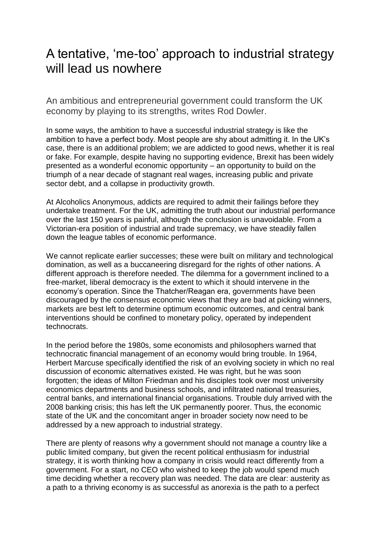## A tentative, 'me-too' approach to industrial strategy will lead us nowhere

An ambitious and entrepreneurial government could transform the UK economy by playing to its strengths, writes Rod Dowler.

In some ways, the ambition to have a successful industrial strategy is like the ambition to have a perfect body. Most people are shy about admitting it. In the UK's case, there is an additional problem; we are addicted to good news, whether it is real or fake. For example, despite having no supporting evidence, Brexit has been widely presented as a wonderful economic opportunity – an opportunity to build on the triumph of a near decade of stagnant real wages, increasing public and private sector debt, and a collapse in productivity growth.

At Alcoholics Anonymous, addicts are required to admit their failings before they undertake treatment. For the UK, admitting the truth about our industrial performance over the last 150 years is painful, although the conclusion is unavoidable. From a Victorian-era position of industrial and trade supremacy, we have steadily fallen down the league tables of economic performance.

We cannot replicate earlier successes; these were built on military and technological domination, as well as a buccaneering disregard for the rights of other nations. A different approach is therefore needed. The dilemma for a government inclined to a free-market, liberal democracy is the extent to which it should intervene in the economy's operation. Since the Thatcher/Reagan era, governments have been discouraged by the consensus economic views that they are bad at picking winners, markets are best left to determine optimum economic outcomes, and central bank interventions should be confined to monetary policy, operated by independent technocrats.

In the period before the 1980s, some economists and philosophers warned that technocratic financial management of an economy would bring trouble. In 1964, Herbert Marcuse specifically identified the risk of an evolving society in which no real discussion of economic alternatives existed. He was right, but he was soon forgotten; the ideas of Milton Friedman and his disciples took over most university economics departments and business schools, and infiltrated national treasuries, central banks, and international financial organisations. Trouble duly arrived with the 2008 banking crisis; this has left the UK permanently poorer. Thus, the economic state of the UK and the concomitant anger in broader society now need to be addressed by a new approach to industrial strategy.

There are plenty of reasons why a government should not manage a country like a public limited company, but given the recent political enthusiasm for industrial strategy, it is worth thinking how a company in crisis would react differently from a government. For a start, no CEO who wished to keep the job would spend much time deciding whether a recovery plan was needed. The data are clear: austerity as a path to a thriving economy is as successful as anorexia is the path to a perfect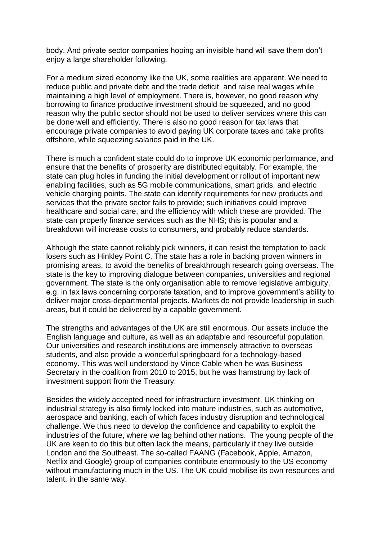body. And private sector companies hoping an invisible hand will save them don't enjoy a large shareholder following.

For a medium sized economy like the UK, some realities are apparent. We need to reduce public and private debt and the trade deficit, and raise real wages while maintaining a high level of employment. There is, however, no good reason why borrowing to finance productive investment should be squeezed, and no good reason why the public sector should not be used to deliver services where this can be done well and efficiently. There is also no good reason for tax laws that encourage private companies to avoid paying UK corporate taxes and take profits offshore, while squeezing salaries paid in the UK.

There is much a confident state could do to improve UK economic performance, and ensure that the benefits of prosperity are distributed equitably. For example, the state can plug holes in funding the initial development or rollout of important new enabling facilities, such as 5G mobile communications, smart grids, and electric vehicle charging points. The state can identify requirements for new products and services that the private sector fails to provide; such initiatives could improve healthcare and social care, and the efficiency with which these are provided. The state can properly finance services such as the NHS; this is popular and a breakdown will increase costs to consumers, and probably reduce standards.

Although the state cannot reliably pick winners, it can resist the temptation to back losers such as Hinkley Point C. The state has a role in backing proven winners in promising areas, to avoid the benefits of breakthrough research going overseas. The state is the key to improving dialogue between companies, universities and regional government. The state is the only organisation able to remove legislative ambiguity, e.g. in tax laws concerning corporate taxation, and to improve government's ability to deliver major cross-departmental projects. Markets do not provide leadership in such areas, but it could be delivered by a capable government.

The strengths and advantages of the UK are still enormous. Our assets include the English language and culture, as well as an adaptable and resourceful population. Our universities and research institutions are immensely attractive to overseas students, and also provide a wonderful springboard for a technology-based economy. This was well understood by Vince Cable when he was Business Secretary in the coalition from 2010 to 2015, but he was hamstrung by lack of investment support from the Treasury.

Besides the widely accepted need for infrastructure investment, UK thinking on industrial strategy is also firmly locked into mature industries, such as automotive, aerospace and banking, each of which faces industry disruption and technological challenge. We thus need to develop the confidence and capability to exploit the industries of the future, where we lag behind other nations. The young people of the UK are keen to do this but often lack the means, particularly if they live outside London and the Southeast. The so-called FAANG (Facebook, Apple, Amazon, Netflix and Google) group of companies contribute enormously to the US economy without manufacturing much in the US. The UK could mobilise its own resources and talent, in the same way.